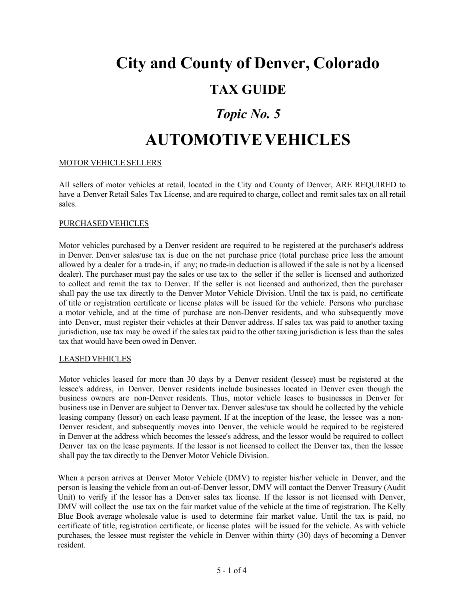# **City and County of Denver, Colorado**

### **TAX GUIDE**

## *Topic No. 5*

## **AUTOMOTIVEVEHICLES**

#### MOTOR VEHICLE SELLERS

All sellers of motor vehicles at retail, located in the City and County of Denver, ARE REQUIRED to have a Denver Retail Sales Tax License, and are required to charge, collect and remit sales tax on all retail sales.

#### PURCHASEDVEHICLES

Motor vehicles purchased by a Denver resident are required to be registered at the purchaser's address in Denver. Denver sales/use tax is due on the net purchase price (total purchase price less the amount allowed by a dealer for a trade-in, if any; no trade-in deduction is allowed if the sale is not by a licensed dealer). The purchaser must pay the sales or use tax to the seller if the seller is licensed and authorized to collect and remit the tax to Denver. If the seller is not licensed and authorized, then the purchaser shall pay the use tax directly to the Denver Motor Vehicle Division. Until the tax is paid, no certificate of title or registration certificate or license plates will be issued for the vehicle. Persons who purchase a motor vehicle, and at the time of purchase are non-Denver residents, and who subsequently move into Denver, must register their vehicles at their Denver address. If sales tax was paid to another taxing jurisdiction, use tax may be owed if the sales tax paid to the other taxing jurisdiction is less than the sales tax that would have been owed in Denver.

#### LEASEDVEHICLES

Motor vehicles leased for more than 30 days by a Denver resident (lessee) must be registered at the lessee's address, in Denver. Denver residents include businesses located in Denver even though the business owners are non-Denver residents. Thus, motor vehicle leases to businesses in Denver for business use in Denver are subject to Denver tax. Denver sales/use tax should be collected by the vehicle leasing company (lessor) on each lease payment. If at the inception of the lease, the lessee was a non-Denver resident, and subsequently moves into Denver, the vehicle would be required to be registered in Denver at the address which becomes the lessee's address, and the lessor would be required to collect Denver tax on the lease payments. If the lessor is not licensed to collect the Denver tax, then the lessee shall pay the tax directly to the Denver Motor Vehicle Division.

When a person arrives at Denver Motor Vehicle (DMV) to register his/her vehicle in Denver, and the person is leasing the vehicle from an out-of-Denver lessor, DMV will contact the Denver Treasury (Audit Unit) to verify if the lessor has a Denver sales tax license. If the lessor is not licensed with Denver, DMV will collect the use tax on the fair market value of the vehicle at the time of registration. The Kelly Blue Book average wholesale value is used to determine fair market value. Until the tax is paid, no certificate of title, registration certificate, or license plates will be issued for the vehicle. As with vehicle purchases, the lessee must register the vehicle in Denver within thirty (30) days of becoming a Denver resident.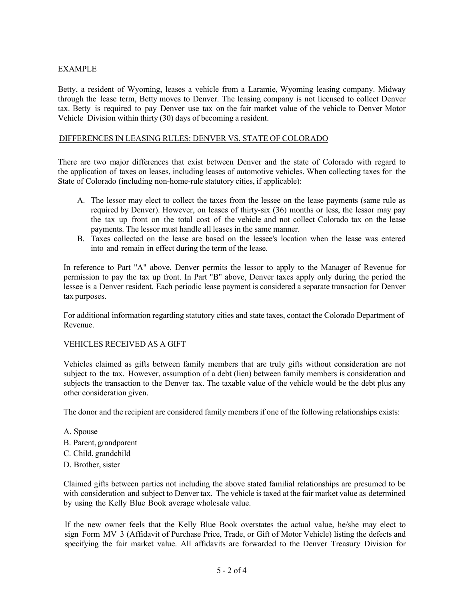#### EXAMPLE

Betty, a resident of Wyoming, leases a vehicle from a Laramie, Wyoming leasing company. Midway through the lease term, Betty moves to Denver. The leasing company is not licensed to collect Denver tax. Betty is required to pay Denver use tax on the fair market value of the vehicle to Denver Motor Vehicle Division within thirty (30) days of becoming a resident.

#### DIFFERENCES IN LEASING RULES: DENVER VS. STATE OF COLORADO

There are two major differences that exist between Denver and the state of Colorado with regard to the application of taxes on leases, including leases of automotive vehicles. When collecting taxes for the State of Colorado (including non-home-rule statutory cities, if applicable):

- A. The lessor may elect to collect the taxes from the lessee on the lease payments (same rule as required by Denver). However, on leases of thirty-six (36) months or less, the lessor may pay the tax up front on the total cost of the vehicle and not collect Colorado tax on the lease payments. The lessor must handle all leases in the same manner.
- B. Taxes collected on the lease are based on the lessee's location when the lease was entered into and remain in effect during the term of the lease.

In reference to Part "A" above, Denver permits the lessor to apply to the Manager of Revenue for permission to pay the tax up front. In Part "B" above, Denver taxes apply only during the period the lessee is a Denver resident. Each periodic lease payment is considered a separate transaction for Denver tax purposes.

For additional information regarding statutory cities and state taxes, contact the Colorado Department of Revenue.

#### VEHICLES RECEIVED AS A GIFT

Vehicles claimed as gifts between family members that are truly gifts without consideration are not subject to the tax. However, assumption of a debt (lien) between family members is consideration and subjects the transaction to the Denver tax. The taxable value of the vehicle would be the debt plus any other consideration given.

The donor and the recipient are considered family members if one of the following relationships exists:

- A. Spouse
- B. Parent, grandparent
- C. Child, grandchild
- D. Brother, sister

Claimed gifts between parties not including the above stated familial relationships are presumed to be with consideration and subject to Denver tax. The vehicle is taxed at the fair market value as determined by using the Kelly Blue Book average wholesale value.

If the new owner feels that the Kelly Blue Book overstates the actual value, he/she may elect to sign Form MV 3 (Affidavit of Purchase Price, Trade, or Gift of Motor Vehicle) listing the defects and specifying the fair market value. All affidavits are forwarded to the Denver Treasury Division for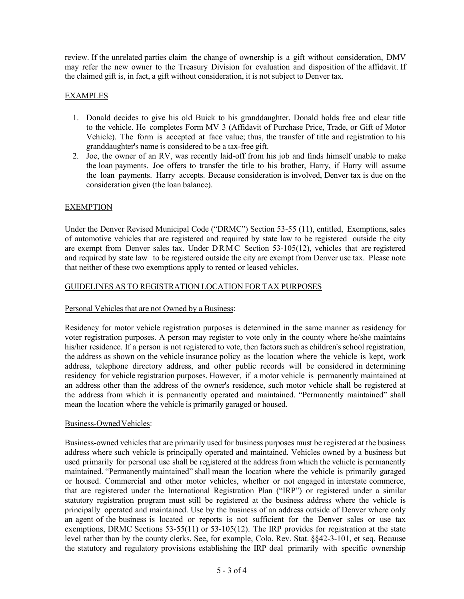review. If the unrelated parties claim the change of ownership is a gift without consideration, DMV may refer the new owner to the Treasury Division for evaluation and disposition of the affidavit. If the claimed gift is, in fact, a gift without consideration, it is not subject to Denver tax.

#### EXAMPLES

- 1. Donald decides to give his old Buick to his granddaughter. Donald holds free and clear title to the vehicle. He completes Form MV 3 (Affidavit of Purchase Price, Trade, or Gift of Motor Vehicle). The form is accepted at face value; thus, the transfer of title and registration to his granddaughter's name is considered to be a tax-free gift.
- 2. Joe, the owner of an RV, was recently laid-off from his job and finds himself unable to make the loan payments. Joe offers to transfer the title to his brother, Harry, if Harry will assume the loan payments. Harry accepts. Because consideration is involved, Denver tax is due on the consideration given (the loan balance).

#### EXEMPTION

Under the Denver Revised Municipal Code ("DRMC") Section 53-55 (11), entitled, Exemptions, sales of automotive vehicles that are registered and required by state law to be registered outside the city are exempt from Denver sales tax. Under DRMC Section 53-105(12), vehicles that are registered and required by state law to be registered outside the city are exempt from Denver use tax. Please note that neither of these two exemptions apply to rented or leased vehicles.

#### GUIDELINES AS TO REGISTRATION LOCATION FOR TAX PURPOSES

#### Personal Vehicles that are not Owned by a Business:

Residency for motor vehicle registration purposes is determined in the same manner as residency for voter registration purposes. A person may register to vote only in the county where he/she maintains his/her residence. If a person is not registered to vote, then factors such as children's school registration, the address as shown on the vehicle insurance policy as the location where the vehicle is kept, work address, telephone directory address, and other public records will be considered in determining residency for vehicle registration purposes. However, if a motor vehicle is permanently maintained at an address other than the address of the owner's residence, such motor vehicle shall be registered at the address from which it is permanently operated and maintained. "Permanently maintained" shall mean the location where the vehicle is primarily garaged or housed.

#### Business-Owned Vehicles:

Business-owned vehicles that are primarily used for business purposes must be registered at the business address where such vehicle is principally operated and maintained. Vehicles owned by a business but used primarily for personal use shall be registered at the address from which the vehicle is permanently maintained. "Permanently maintained" shall mean the location where the vehicle is primarily garaged or housed. Commercial and other motor vehicles, whether or not engaged in interstate commerce, that are registered under the International Registration Plan ("IRP") or registered under a similar statutory registration program must still be registered at the business address where the vehicle is principally operated and maintained. Use by the business of an address outside of Denver where only an agent of the business is located or reports is not sufficient for the Denver sales or use tax exemptions, DRMC Sections 53-55(11) or 53-105(12). The IRP provides for registration at the state level rather than by the county clerks. See, for example, Colo. Rev. Stat. §§42-3-101, et seq. Because the statutory and regulatory provisions establishing the IRP deal primarily with specific ownership